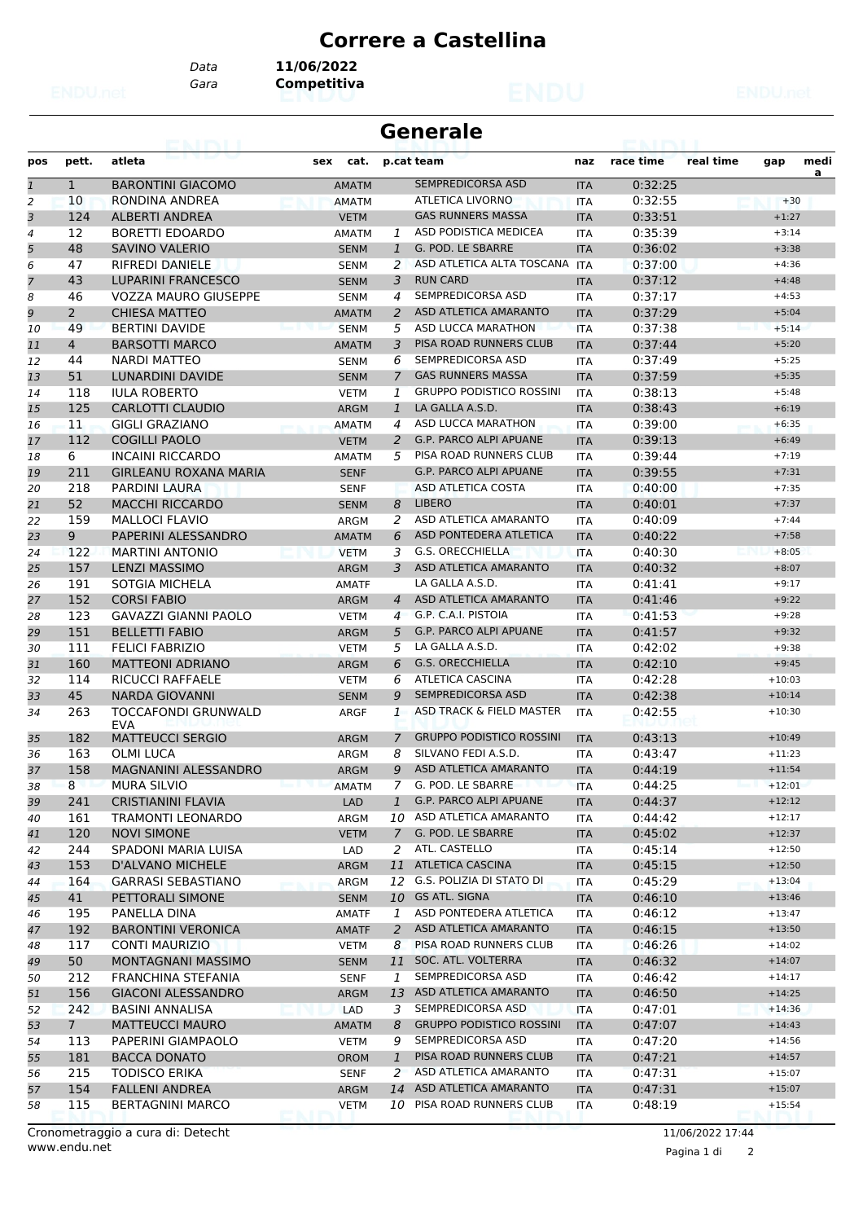## **Correre a Castellina**

*Gara* **Competitiva** *Data* **11/06/2022**

| <b>Generale</b> |                       |                                          |              |                |                                 |            |           |           |          |           |
|-----------------|-----------------------|------------------------------------------|--------------|----------------|---------------------------------|------------|-----------|-----------|----------|-----------|
| pos             | pett.                 | atleta                                   | cat.<br>sex  |                | p.cat team                      | naz        | race time | real time | gap      | medi<br>a |
| $\mathbf{1}$    | $\mathbf{1}$          | <b>BARONTINI GIACOMO</b>                 | <b>AMATM</b> |                | SEMPREDICORSA ASD               | <b>ITA</b> | 0:32:25   |           |          |           |
| $\overline{2}$  | 10                    | RONDINA ANDREA                           | <b>AMATM</b> |                | <b>ATLETICA LIVORNO</b>         | <b>ITA</b> | 0:32:55   |           | $+30$    |           |
| 3               | 124                   | ALBERTI ANDREA                           | <b>VETM</b>  |                | <b>GAS RUNNERS MASSA</b>        | <b>ITA</b> | 0:33:51   |           | $+1:27$  |           |
| 4               | 12                    | <b>BORETTI EDOARDO</b>                   | AMATM        | 1              | ASD PODISTICA MEDICEA           | <b>ITA</b> | 0:35:39   |           | $+3:14$  |           |
| 5               | 48                    | <b>SAVINO VALERIO</b>                    | <b>SENM</b>  | $\mathbf{1}$   | G. POD. LE SBARRE               | <b>ITA</b> | 0:36:02   |           | $+3:38$  |           |
| 6               | 47                    | <b>RIFREDI DANIELE</b>                   | <b>SENM</b>  | 2              | ASD ATLETICA ALTA TOSCANA ITA   |            | 0:37:00   |           | $+4:36$  |           |
| $\overline{7}$  | 43                    | <b>LUPARINI FRANCESCO</b>                | <b>SENM</b>  | 3              | <b>RUN CARD</b>                 | <b>ITA</b> | 0:37:12   |           | $+4:48$  |           |
| 8               | 46                    | <b>VOZZA MAURO GIUSEPPE</b>              | <b>SENM</b>  | 4              | SEMPREDICORSA ASD               | <b>ITA</b> | 0:37:17   |           | $+4:53$  |           |
| 9               | $\mathbf{2}^{\prime}$ | <b>CHIESA MATTEO</b>                     | <b>AMATM</b> | 2              | ASD ATLETICA AMARANTO           | <b>ITA</b> | 0:37:29   |           | $+5:04$  |           |
| 10              | 49                    | <b>BERTINI DAVIDE</b>                    | <b>SENM</b>  | 5              | <b>ASD LUCCA MARATHON</b>       | <b>ITA</b> | 0:37:38   |           | $+5:14$  |           |
| 11              | 4                     | <b>BARSOTTI MARCO</b>                    | <b>AMATM</b> | 3              | PISA ROAD RUNNERS CLUB          | <b>ITA</b> | 0:37:44   |           | $+5:20$  |           |
| 12              | 44                    | <b>NARDI MATTEO</b>                      | <b>SENM</b>  | 6              | SEMPREDICORSA ASD               | ITA        | 0:37:49   |           | $+5:25$  |           |
| 13              | 51                    | LUNARDINI DAVIDE                         | <b>SENM</b>  | 7              | <b>GAS RUNNERS MASSA</b>        | <b>ITA</b> | 0:37:59   |           | $+5:35$  |           |
| 14              | 118                   | <b>IULA ROBERTO</b>                      | <b>VETM</b>  | 1              | <b>GRUPPO PODISTICO ROSSINI</b> | <b>ITA</b> | 0:38:13   |           | $+5:48$  |           |
| 15              | 125                   | CARLOTTI CLAUDIO                         | <b>ARGM</b>  | $\mathbf{1}$   | LA GALLA A.S.D.                 | <b>ITA</b> | 0:38:43   |           | $+6:19$  |           |
| 16              | 11                    | <b>GIGLI GRAZIANO</b>                    | <b>AMATM</b> | 4              | ASD LUCCA MARATHON              | ITA        | 0:39:00   |           | $+6:35$  |           |
| 17              | 112                   | <b>COGILLI PAOLO</b>                     | <b>VETM</b>  | 2              | <b>G.P. PARCO ALPI APUANE</b>   | <b>ITA</b> | 0:39:13   |           | $+6:49$  |           |
| 18              | 6                     | <b>INCAINI RICCARDO</b>                  | <b>AMATM</b> | 5              | PISA ROAD RUNNERS CLUB          | ITA        | 0:39:44   |           | $+7:19$  |           |
| 19              | 211                   | <b>GIRLEANU ROXANA MARIA</b>             | <b>SENF</b>  |                | <b>G.P. PARCO ALPI APUANE</b>   | <b>ITA</b> | 0:39:55   |           | $+7:31$  |           |
| 20              | 218                   | PARDINI LAURA                            | <b>SENF</b>  |                | ASD ATLETICA COSTA              | <b>ITA</b> | 0:40:00   |           | $+7:35$  |           |
| 21              | 52                    | <b>MACCHI RICCARDO</b>                   | <b>SENM</b>  | 8              | <b>LIBERO</b>                   | <b>ITA</b> | 0:40:01   |           | $+7:37$  |           |
| 22              | 159                   | <b>MALLOCI FLAVIO</b>                    | ARGM         | 2              | ASD ATLETICA AMARANTO           | <b>ITA</b> | 0:40:09   |           | $+7:44$  |           |
| 23              | 9                     | PAPERINI ALESSANDRO                      | <b>AMATM</b> | 6              | ASD PONTEDERA ATLETICA          | <b>ITA</b> | 0:40:22   |           | $+7:58$  |           |
| 24              | 122                   | <b>MARTINI ANTONIO</b>                   | <b>VETM</b>  | 3              | <b>G.S. ORECCHIELLA</b>         | <b>ITA</b> | 0:40:30   |           | $+8:05$  |           |
| 25              | 157                   | <b>LENZI MASSIMO</b>                     | ARGM         | 3              | ASD ATLETICA AMARANTO           | <b>ITA</b> | 0:40:32   |           | $+8:07$  |           |
| 26              | 191                   | SOTGIA MICHELA                           | <b>AMATF</b> |                | LA GALLA A.S.D.                 | <b>ITA</b> | 0:41:41   |           | $+9:17$  |           |
| 27              | 152                   | <b>CORSI FABIO</b>                       | <b>ARGM</b>  | $\overline{A}$ | ASD ATLETICA AMARANTO           | <b>ITA</b> | 0:41:46   |           | $+9:22$  |           |
| 28              | 123                   | <b>GAVAZZI GIANNI PAOLO</b>              | <b>VETM</b>  | 4              | G.P. C.A.I. PISTOIA             | <b>ITA</b> | 0:41:53   |           | $+9:28$  |           |
| 29              | 151                   | <b>BELLETTI FABIO</b>                    | <b>ARGM</b>  | 5              | <b>G.P. PARCO ALPI APUANE</b>   | <b>ITA</b> | 0:41:57   |           | $+9:32$  |           |
| 30              | 111                   | <b>FELICI FABRIZIO</b>                   | <b>VETM</b>  | 5              | LA GALLA A.S.D.                 | ITA        | 0:42:02   |           | $+9:38$  |           |
| 31              | 160                   | <b>MATTEONI ADRIANO</b>                  | <b>ARGM</b>  | 6              | <b>G.S. ORECCHIELLA</b>         | <b>ITA</b> | 0:42:10   |           | $+9:45$  |           |
| 32              | 114                   | RICUCCI RAFFAELE                         | <b>VETM</b>  | 6              | ATLETICA CASCINA                | <b>ITA</b> | 0:42:28   |           | $+10:03$ |           |
| 33              | 45                    | <b>NARDA GIOVANNI</b>                    | <b>SENM</b>  | 9              | SEMPREDICORSA ASD               | <b>ITA</b> | 0:42:38   |           | $+10:14$ |           |
| 34              | 263                   | <b>TOCCAFONDI GRUNWALD</b><br><b>EVA</b> | ARGF         | 1              | ASD TRACK & FIELD MASTER        | <b>ITA</b> | 0:42:55   |           | $+10:30$ |           |
| 35              | 182                   | <b>MATTEUCCI SERGIO</b>                  | ARGM         | 7              | <b>GRUPPO PODISTICO ROSSINI</b> | <b>ITA</b> | 0:43:13   |           | $+10:49$ |           |
| 36              | 163                   | <b>OLMI LUCA</b>                         | ARGM         | 8              | SILVANO FEDI A.S.D.             | <b>ITA</b> | 0:43:47   |           | $+11:23$ |           |
| 37              | 158                   | MAGNANINI ALESSANDRO                     | ARGM         |                | 9 ASD ATLETICA AMARANTO         | <b>ITA</b> | 0:44:19   |           | $+11:54$ |           |
| 38              | 8                     | MURA SILVIO                              | AMATM        | 7              | G. POD. LE SBARRE               | ITA        | 0:44:25   |           | $+12:01$ |           |
| 39              | 241                   | <b>CRISTIANINI FLAVIA</b>                | <b>LAD</b>   | $\mathbf{1}$   | <b>G.P. PARCO ALPI APUANE</b>   | <b>ITA</b> | 0:44:37   |           | $+12:12$ |           |
| 40              | 161                   | <b>TRAMONTI LEONARDO</b>                 | ARGM         |                | 10 ASD ATLETICA AMARANTO        | ITA        | 0:44:42   |           | $+12:17$ |           |
| 41              | 120                   | <b>NOVI SIMONE</b>                       | <b>VETM</b>  | $\overline{7}$ | G. POD. LE SBARRE               | <b>ITA</b> | 0:45:02   |           | $+12:37$ |           |
| 42              | 244                   | SPADONI MARIA LUISA                      | LAD          | 2              | ATL. CASTELLO                   | ITA        | 0:45:14   |           | $+12:50$ |           |
| 43              | 153                   | D'ALVANO MICHELE                         | <b>ARGM</b>  |                | 11 ATLETICA CASCINA             | <b>ITA</b> | 0:45:15   |           | $+12:50$ |           |
| 44              | 164                   | <b>GARRASI SEBASTIANO</b>                | <b>ARGM</b>  | 12             | G.S. POLIZIA DI STATO DI        | ITA        | 0:45:29   |           | $+13:04$ |           |
| 45              | 41                    | PETTORALI SIMONE                         | <b>SENM</b>  |                | 10 GS ATL. SIGNA                | <b>ITA</b> | 0:46:10   |           | $+13:46$ |           |
| 46              | 195                   | PANELLA DINA                             | AMATF        | $\mathbf{1}$   | ASD PONTEDERA ATLETICA          | ITA        | 0:46:12   |           | $+13:47$ |           |
| 47              | 192                   | <b>BARONTINI VERONICA</b>                | <b>AMATF</b> | 2              | ASD ATLETICA AMARANTO           | <b>ITA</b> | 0:46:15   |           | $+13:50$ |           |
| 48              | 117                   | <b>CONTI MAURIZIO</b>                    | <b>VETM</b>  | 8              | PISA ROAD RUNNERS CLUB          | ITA        | 0:46:26   |           | $+14:02$ |           |
| 49              | 50                    | MONTAGNANI MASSIMO                       | <b>SENM</b>  |                | 11 SOC. ATL. VOLTERRA           | <b>ITA</b> | 0:46:32   |           | $+14:07$ |           |
| 50              | 212                   | FRANCHINA STEFANIA                       | <b>SENF</b>  | 1              | SEMPREDICORSA ASD               | ITA        | 0:46:42   |           | $+14:17$ |           |
| 51              | 156                   | <b>GIACONI ALESSANDRO</b>                | <b>ARGM</b>  | 13             | ASD ATLETICA AMARANTO           | <b>ITA</b> | 0:46:50   |           | $+14:25$ |           |
| 52              | 242                   | <b>BASINI ANNALISA</b>                   | <b>LAD</b>   | 3              | SEMPREDICORSA ASD               | ITA        | 0:47:01   |           | $+14:36$ |           |
| 53              | 7 <sup>7</sup>        | <b>MATTEUCCI MAURO</b>                   | <b>AMATM</b> | 8              | <b>GRUPPO PODISTICO ROSSINI</b> | <b>ITA</b> | 0:47:07   |           | $+14:43$ |           |
| 54              | 113                   | PAPERINI GIAMPAOLO                       | <b>VETM</b>  | 9              | SEMPREDICORSA ASD               | ITA        | 0:47:20   |           | $+14:56$ |           |
| 55              | 181                   | <b>BACCA DONATO</b>                      | <b>OROM</b>  | $\mathbf{1}$   | PISA ROAD RUNNERS CLUB          | <b>ITA</b> | 0:47:21   |           | $+14:57$ |           |
| 56              | 215                   | <b>TODISCO ERIKA</b>                     | <b>SENF</b>  | $\overline{2}$ | ASD ATLETICA AMARANTO           | ITA        | 0:47:31   |           | $+15:07$ |           |
| 57              | 154                   | <b>FALLENI ANDREA</b>                    | ARGM         |                | 14 ASD ATLETICA AMARANTO        | <b>ITA</b> | 0:47:31   |           | $+15:07$ |           |
| 58              | 115                   | <b>BERTAGNINI MARCO</b>                  | <b>VETM</b>  |                | 10 PISA ROAD RUNNERS CLUB       | ITA        | 0:48:19   |           | $+15:54$ |           |

www.endu.net Cronometraggio a cura di: Detecht 11/06/2022 17:44

Pagina 1 di 2